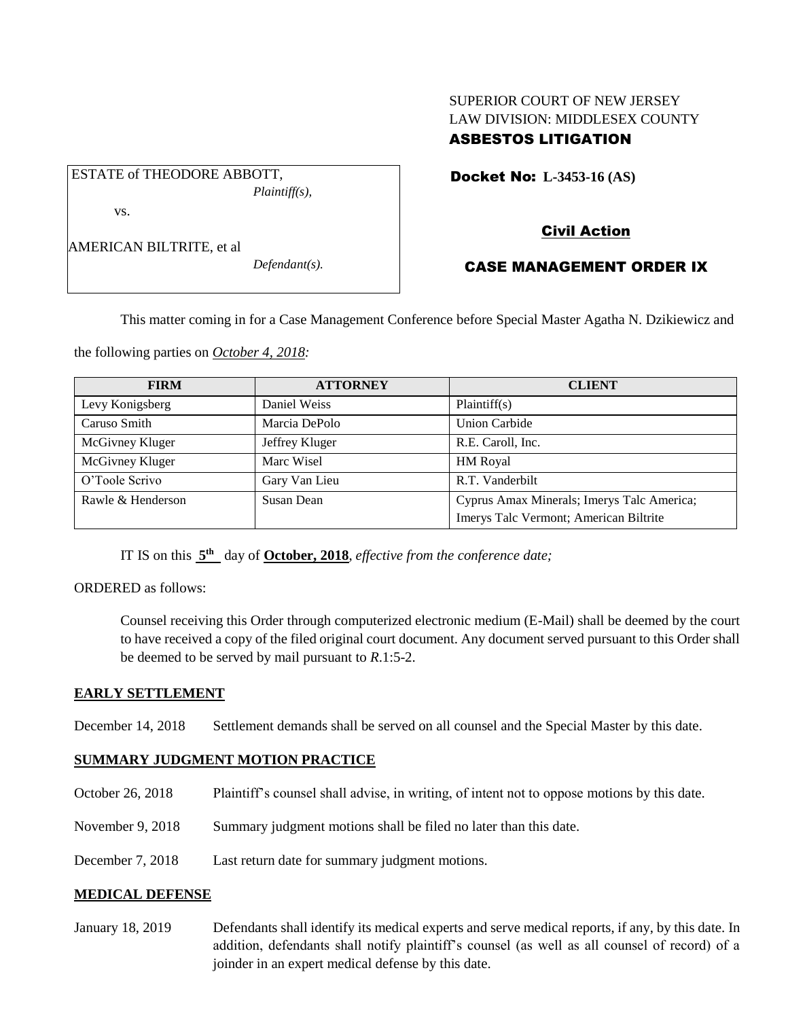# SUPERIOR COURT OF NEW JERSEY LAW DIVISION: MIDDLESEX COUNTY ASBESTOS LITIGATION

Docket No: **L-3453-16 (AS)** 

ESTATE of THEODORE ABBOTT, *Plaintiff(s),* vs.

*Defendant(s).*

# Civil Action

## CASE MANAGEMENT ORDER IX

This matter coming in for a Case Management Conference before Special Master Agatha N. Dzikiewicz and

the following parties on *October 4, 2018:*

| <b>FIRM</b>       | <b>ATTORNEY</b> | <b>CLIENT</b>                              |
|-------------------|-----------------|--------------------------------------------|
| Levy Konigsberg   | Daniel Weiss    | Plaintiff(s)                               |
| Caruso Smith      | Marcia DePolo   | <b>Union Carbide</b>                       |
| McGivney Kluger   | Jeffrey Kluger  | R.E. Caroll, Inc.                          |
| McGivney Kluger   | Marc Wisel      | <b>HM</b> Royal                            |
| O'Toole Scrivo    | Gary Van Lieu   | R.T. Vanderbilt                            |
| Rawle & Henderson | Susan Dean      | Cyprus Amax Minerals; Imerys Talc America; |
|                   |                 | Imerys Talc Vermont; American Biltrite     |

IT IS on this  $5<sup>th</sup>$  day of **October, 2018**, *effective from the conference date*;

## ORDERED as follows:

Counsel receiving this Order through computerized electronic medium (E-Mail) shall be deemed by the court to have received a copy of the filed original court document. Any document served pursuant to this Order shall be deemed to be served by mail pursuant to *R*.1:5-2.

## **EARLY SETTLEMENT**

December 14, 2018 Settlement demands shall be served on all counsel and the Special Master by this date.

## **SUMMARY JUDGMENT MOTION PRACTICE**

- October 26, 2018 Plaintiff's counsel shall advise, in writing, of intent not to oppose motions by this date.
- November 9, 2018 Summary judgment motions shall be filed no later than this date.
- December 7, 2018 Last return date for summary judgment motions.

## **MEDICAL DEFENSE**

January 18, 2019 Defendants shall identify its medical experts and serve medical reports, if any, by this date. In addition, defendants shall notify plaintiff's counsel (as well as all counsel of record) of a joinder in an expert medical defense by this date.